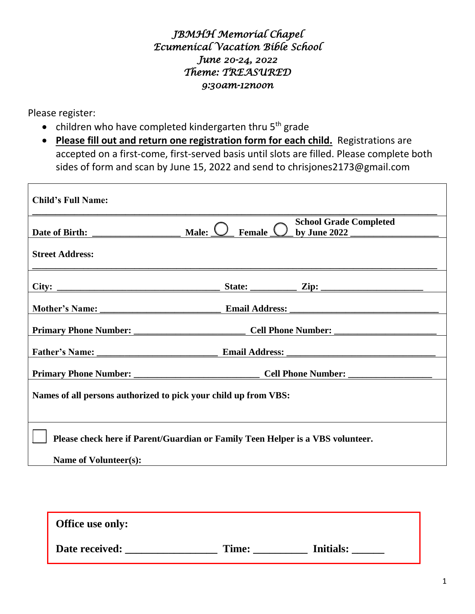## *JBMHH Memorial Chapel Ecumenical Vacation Bible School June 20-24, 2022 Theme: TREASURED 9:30am-12noon*

Please register:

- $\bullet$  children who have completed kindergarten thru 5<sup>th</sup> grade
- **Please fill out and return one registration form for each child.** Registrations are accepted on a first-come, first-served basis until slots are filled. Please complete both sides of form and scan by June 15, 2022 and send to chrisjones2173@gmail.com

| <b>Child's Full Name:</b>                                                      |                                                                       |  |
|--------------------------------------------------------------------------------|-----------------------------------------------------------------------|--|
|                                                                                | <b>School Grade Completed</b><br>Female $\bigcirc$<br>Male: $\langle$ |  |
| <b>Street Address:</b>                                                         |                                                                       |  |
| City:                                                                          | State: $\qquad \qquad \text{Zip:} \qquad \qquad \qquad$               |  |
|                                                                                |                                                                       |  |
|                                                                                |                                                                       |  |
|                                                                                |                                                                       |  |
|                                                                                |                                                                       |  |
| Names of all persons authorized to pick your child up from VBS:                |                                                                       |  |
| Please check here if Parent/Guardian or Family Teen Helper is a VBS volunteer. |                                                                       |  |
| Name of Volunteer(s):                                                          |                                                                       |  |

| <b>Office use only:</b> |       |                  |
|-------------------------|-------|------------------|
| Date received:          | Time: | <b>Initials:</b> |